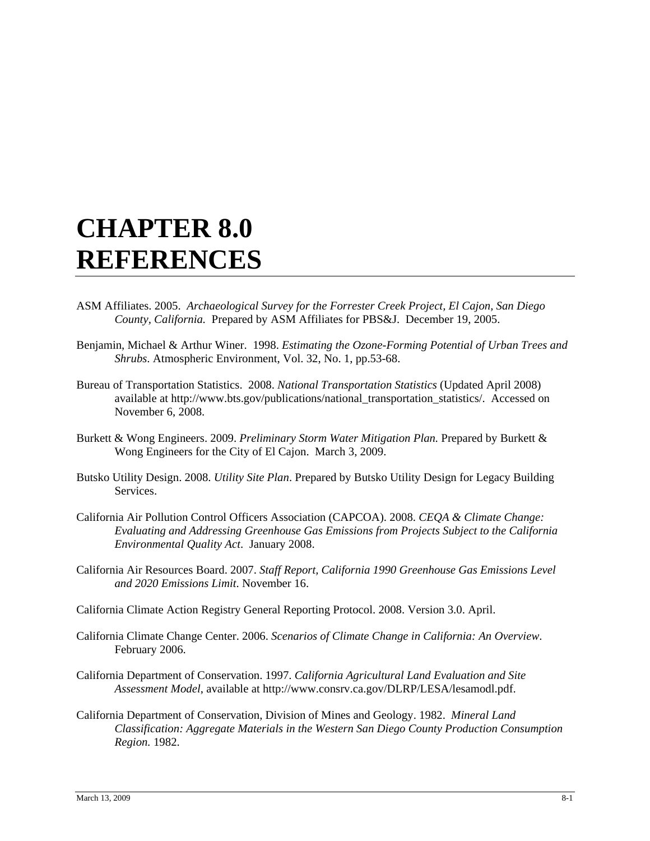## **CHAPTER 8.0 REFERENCES**

- ASM Affiliates. 2005. *Archaeological Survey for the Forrester Creek Project, El Cajon, San Diego County, California.* Prepared by ASM Affiliates for PBS&J. December 19, 2005.
- Benjamin, Michael & Arthur Winer. 1998. *Estimating the Ozone-Forming Potential of Urban Trees and Shrubs*. Atmospheric Environment, Vol. 32, No. 1, pp.53-68.
- Bureau of Transportation Statistics. 2008. *National Transportation Statistics* (Updated April 2008) available at http://www.bts.gov/publications/national\_transportation\_statistics/. Accessed on November 6, 2008.
- Burkett & Wong Engineers. 2009. *Preliminary Storm Water Mitigation Plan.* Prepared by Burkett & Wong Engineers for the City of El Cajon. March 3, 2009.
- Butsko Utility Design. 2008. *Utility Site Plan*. Prepared by Butsko Utility Design for Legacy Building Services.
- California Air Pollution Control Officers Association (CAPCOA). 2008. *CEQA & Climate Change: Evaluating and Addressing Greenhouse Gas Emissions from Projects Subject to the California Environmental Quality Act*. January 2008.
- California Air Resources Board. 2007. *Staff Report, California 1990 Greenhouse Gas Emissions Level and 2020 Emissions Limit*. November 16.
- California Climate Action Registry General Reporting Protocol. 2008. Version 3.0. April.
- California Climate Change Center. 2006. *Scenarios of Climate Change in California: An Overview*. February 2006.
- California Department of Conservation. 1997. *California Agricultural Land Evaluation and Site Assessment Model*, available at http://www.consrv.ca.gov/DLRP/LESA/lesamodl.pdf.
- California Department of Conservation, Division of Mines and Geology. 1982. *Mineral Land Classification: Aggregate Materials in the Western San Diego County Production Consumption Region.* 1982.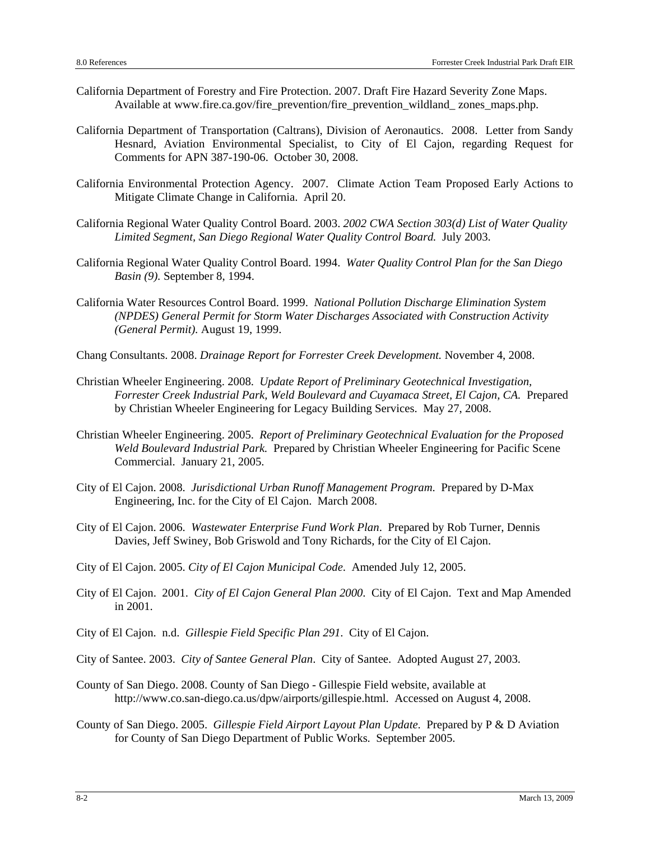- California Department of Forestry and Fire Protection. 2007. Draft Fire Hazard Severity Zone Maps. Available at www.fire.ca.gov/fire\_prevention/fire\_prevention\_wildland\_ zones\_maps.php.
- California Department of Transportation (Caltrans), Division of Aeronautics. 2008. Letter from Sandy Hesnard, Aviation Environmental Specialist, to City of El Cajon, regarding Request for Comments for APN 387-190-06. October 30, 2008.
- California Environmental Protection Agency. 2007. Climate Action Team Proposed Early Actions to Mitigate Climate Change in California. April 20.
- California Regional Water Quality Control Board. 2003. *2002 CWA Section 303(d) List of Water Quality Limited Segment, San Diego Regional Water Quality Control Board.* July 2003.
- California Regional Water Quality Control Board. 1994. *Water Quality Control Plan for the San Diego Basin (9).* September 8, 1994.
- California Water Resources Control Board. 1999. *National Pollution Discharge Elimination System (NPDES) General Permit for Storm Water Discharges Associated with Construction Activity (General Permit).* August 19, 1999.
- Chang Consultants. 2008. *Drainage Report for Forrester Creek Development.* November 4, 2008.
- Christian Wheeler Engineering. 2008. *Update Report of Preliminary Geotechnical Investigation, Forrester Creek Industrial Park, Weld Boulevard and Cuyamaca Street, El Cajon, CA.* Prepared by Christian Wheeler Engineering for Legacy Building Services. May 27, 2008.
- Christian Wheeler Engineering. 2005. *Report of Preliminary Geotechnical Evaluation for the Proposed Weld Boulevard Industrial Park.* Prepared by Christian Wheeler Engineering for Pacific Scene Commercial. January 21, 2005.
- City of El Cajon. 2008. *Jurisdictional Urban Runoff Management Program*. Prepared by D-Max Engineering, Inc. for the City of El Cajon. March 2008.
- City of El Cajon. 2006. *Wastewater Enterprise Fund Work Plan*. Prepared by Rob Turner, Dennis Davies, Jeff Swiney, Bob Griswold and Tony Richards, for the City of El Cajon.
- City of El Cajon. 2005. *City of El Cajon Municipal Code*. Amended July 12, 2005.
- City of El Cajon. 2001. *City of El Cajon General Plan 2000*. City of El Cajon. Text and Map Amended in 2001.
- City of El Cajon. n.d. *Gillespie Field Specific Plan 291*. City of El Cajon.
- City of Santee. 2003. *City of Santee General Plan*. City of Santee. Adopted August 27, 2003.
- County of San Diego. 2008. County of San Diego Gillespie Field website, available at http://www.co.san-diego.ca.us/dpw/airports/gillespie.html. Accessed on August 4, 2008.
- County of San Diego. 2005. *Gillespie Field Airport Layout Plan Update*. Prepared by P & D Aviation for County of San Diego Department of Public Works. September 2005.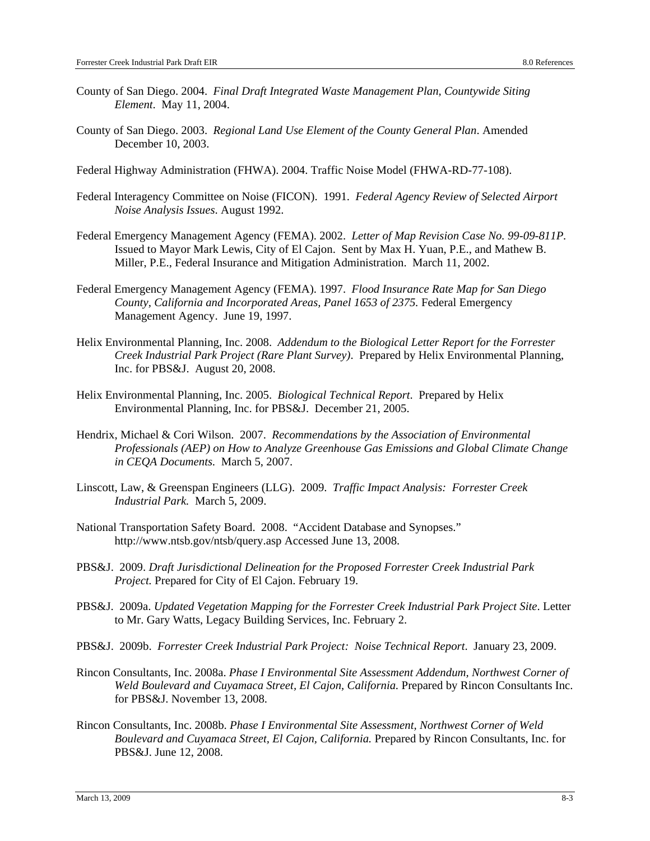- County of San Diego. 2004. *Final Draft Integrated Waste Management Plan, Countywide Siting Element*. May 11, 2004.
- County of San Diego. 2003. *Regional Land Use Element of the County General Plan*. Amended December 10, 2003.
- Federal Highway Administration (FHWA). 2004. Traffic Noise Model (FHWA-RD-77-108).
- Federal Interagency Committee on Noise (FICON). 1991. *Federal Agency Review of Selected Airport Noise Analysis Issues*. August 1992.
- Federal Emergency Management Agency (FEMA). 2002. *Letter of Map Revision Case No. 99-09-811P.*  Issued to Mayor Mark Lewis, City of El Cajon. Sent by Max H. Yuan, P.E., and Mathew B. Miller, P.E., Federal Insurance and Mitigation Administration. March 11, 2002.
- Federal Emergency Management Agency (FEMA). 1997. *Flood Insurance Rate Map for San Diego County, California and Incorporated Areas, Panel 1653 of 2375.* Federal Emergency Management Agency. June 19, 1997.
- Helix Environmental Planning, Inc. 2008. *Addendum to the Biological Letter Report for the Forrester Creek Industrial Park Project (Rare Plant Survey)*. Prepared by Helix Environmental Planning, Inc. for PBS&J. August 20, 2008.
- Helix Environmental Planning, Inc. 2005. *Biological Technical Report*. Prepared by Helix Environmental Planning, Inc. for PBS&J. December 21, 2005.
- Hendrix, Michael & Cori Wilson. 2007. *Recommendations by the Association of Environmental Professionals (AEP) on How to Analyze Greenhouse Gas Emissions and Global Climate Change in CEQA Documents.* March 5, 2007.
- Linscott, Law, & Greenspan Engineers (LLG). 2009. *Traffic Impact Analysis: Forrester Creek Industrial Park.* March 5, 2009.
- National Transportation Safety Board. 2008. "Accident Database and Synopses." http://www.ntsb.gov/ntsb/query.asp Accessed June 13, 2008.
- PBS&J. 2009. *Draft Jurisdictional Delineation for the Proposed Forrester Creek Industrial Park Project.* Prepared for City of El Cajon. February 19.
- PBS&J. 2009a. *Updated Vegetation Mapping for the Forrester Creek Industrial Park Project Site*. Letter to Mr. Gary Watts, Legacy Building Services, Inc. February 2.
- PBS&J. 2009b. *Forrester Creek Industrial Park Project: Noise Technical Report*. January 23, 2009.
- Rincon Consultants, Inc. 2008a. *Phase I Environmental Site Assessment Addendum, Northwest Corner of Weld Boulevard and Cuyamaca Street, El Cajon, California.* Prepared by Rincon Consultants Inc. for PBS&J. November 13, 2008.
- Rincon Consultants, Inc. 2008b. *Phase I Environmental Site Assessment, Northwest Corner of Weld Boulevard and Cuyamaca Street, El Cajon, California.* Prepared by Rincon Consultants, Inc. for PBS&J. June 12, 2008.